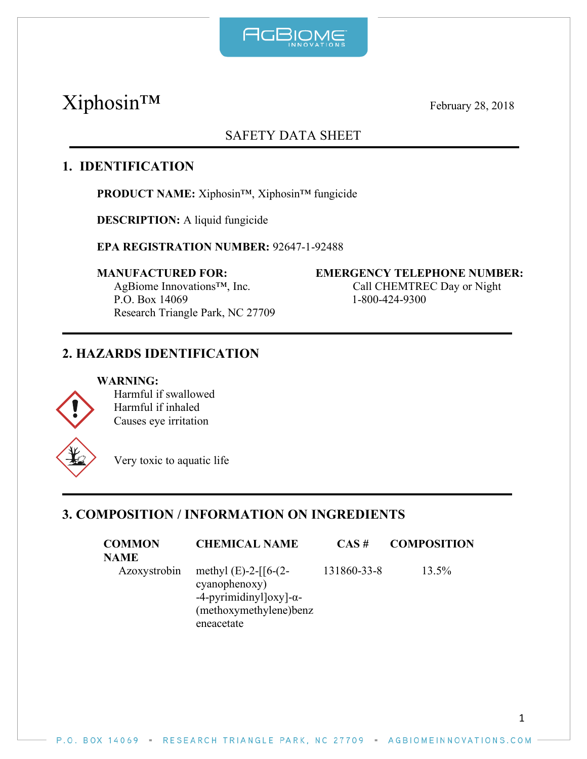

# Xiphosin™ February 28, 2018

# SAFETY DATA SHEET

# **1. IDENTIFICATION**

**PRODUCT NAME:** Xiphosin™, Xiphosin™ fungicide

**DESCRIPTION:** A liquid fungicide

**EPA REGISTRATION NUMBER:** 92647-1-92488

AgBiome Innovations™, Inc. Call CHEMTREC Day or Night P.O. Box 14069 1-800-424-9300 Research Triangle Park, NC 27709

#### **MANUFACTURED FOR: EMERGENCY TELEPHONE NUMBER:**

# **2. HAZARDS IDENTIFICATION**

#### **WARNING:**



Harmful if swallowed Harmful if inhaled Causes eye irritation

Very toxic to aquatic life

# **3. COMPOSITION / INFORMATION ON INGREDIENTS**

| <b>COMMON</b><br>NAME | <b>CHEMICAL NAME</b>                                                                                                        | $CAS \#$    | <b>COMPOSITION</b> |
|-----------------------|-----------------------------------------------------------------------------------------------------------------------------|-------------|--------------------|
| Azoxystrobin          | methyl $(E)$ -2- $[6-(2-$<br>cyanophenoxy)<br>$-4$ -pyrimidinyl $\log$ - $\alpha$ -<br>(methoxymethylene)benz<br>eneacetate | 131860-33-8 | 13.5%              |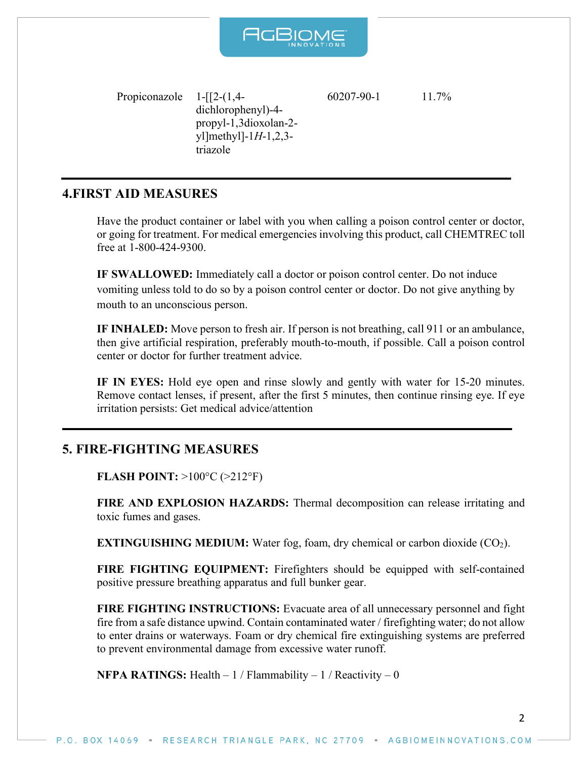

Propiconazole 1-[[2-(1,4 dichlorophenyl)-4 propyl-1,3dioxolan-2 yl]methyl]-1*H*-1,2,3 triazole  $60207-90-1$  11.7%

# **4.FIRST AID MEASURES**

Have the product container or label with you when calling a poison control center or doctor, or going for treatment. For medical emergencies involving this product, call CHEMTREC toll free at 1-800-424-9300.

**IF SWALLOWED:** Immediately call a doctor or poison control center. Do not induce vomiting unless told to do so by a poison control center or doctor. Do not give anything by mouth to an unconscious person.

**IF INHALED:** Move person to fresh air. If person is not breathing, call 911 or an ambulance, then give artificial respiration, preferably mouth-to-mouth, if possible. Call a poison control center or doctor for further treatment advice.

**IF IN EYES:** Hold eye open and rinse slowly and gently with water for 15-20 minutes. Remove contact lenses, if present, after the first 5 minutes, then continue rinsing eye. If eye irritation persists: Get medical advice/attention

# **5. FIRE-FIGHTING MEASURES**

**FLASH POINT:** >100°C (>212°F)

**FIRE AND EXPLOSION HAZARDS:** Thermal decomposition can release irritating and toxic fumes and gases.

**EXTINGUISHING MEDIUM:** Water fog, foam, dry chemical or carbon dioxide (CO<sub>2</sub>).

**FIRE FIGHTING EQUIPMENT:** Firefighters should be equipped with self-contained positive pressure breathing apparatus and full bunker gear.

**FIRE FIGHTING INSTRUCTIONS:** Evacuate area of all unnecessary personnel and fight fire from a safe distance upwind. Contain contaminated water / firefighting water; do not allow to enter drains or waterways. Foam or dry chemical fire extinguishing systems are preferred to prevent environmental damage from excessive water runoff.

**NFPA RATINGS:** Health  $-1$  / Flammability  $-1$  / Reactivity  $-0$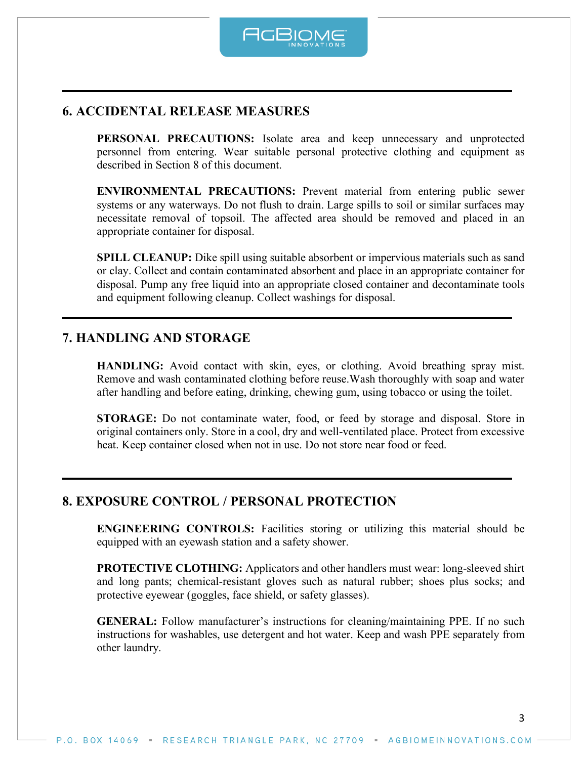

# **6. ACCIDENTAL RELEASE MEASURES**

**PERSONAL PRECAUTIONS:** Isolate area and keep unnecessary and unprotected personnel from entering. Wear suitable personal protective clothing and equipment as described in Section 8 of this document.

**ENVIRONMENTAL PRECAUTIONS:** Prevent material from entering public sewer systems or any waterways. Do not flush to drain. Large spills to soil or similar surfaces may necessitate removal of topsoil. The affected area should be removed and placed in an appropriate container for disposal.

**SPILL CLEANUP:** Dike spill using suitable absorbent or impervious materials such as sand or clay. Collect and contain contaminated absorbent and place in an appropriate container for disposal. Pump any free liquid into an appropriate closed container and decontaminate tools and equipment following cleanup. Collect washings for disposal.

# **7. HANDLING AND STORAGE**

**HANDLING:** Avoid contact with skin, eyes, or clothing. Avoid breathing spray mist. Remove and wash contaminated clothing before reuse.Wash thoroughly with soap and water after handling and before eating, drinking, chewing gum, using tobacco or using the toilet.

**STORAGE:** Do not contaminate water, food, or feed by storage and disposal. Store in original containers only. Store in a cool, dry and well-ventilated place. Protect from excessive heat. Keep container closed when not in use. Do not store near food or feed.

# **8. EXPOSURE CONTROL / PERSONAL PROTECTION**

**ENGINEERING CONTROLS:** Facilities storing or utilizing this material should be equipped with an eyewash station and a safety shower.

**PROTECTIVE CLOTHING:** Applicators and other handlers must wear: long-sleeved shirt and long pants; chemical-resistant gloves such as natural rubber; shoes plus socks; and protective eyewear (goggles, face shield, or safety glasses).

**GENERAL:** Follow manufacturer's instructions for cleaning/maintaining PPE. If no such instructions for washables, use detergent and hot water. Keep and wash PPE separately from other laundry.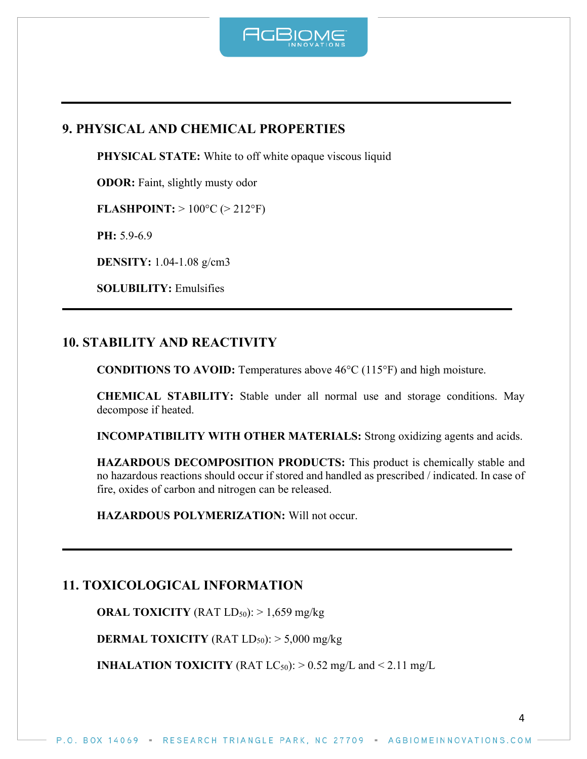

# **9. PHYSICAL AND CHEMICAL PROPERTIES**

**PHYSICAL STATE:** White to off white opaque viscous liquid

**ODOR:** Faint, slightly musty odor

**FLASHPOINT:**  $> 100^{\circ}C$  ( $> 212^{\circ}F$ )

**PH:** 5.9-6.9

**DENSITY:** 1.04-1.08 g/cm3

**SOLUBILITY:** Emulsifies

#### **10. STABILITY AND REACTIVITY**

**CONDITIONS TO AVOID:** Temperatures above 46°C (115°F) and high moisture.

**CHEMICAL STABILITY:** Stable under all normal use and storage conditions. May decompose if heated.

**INCOMPATIBILITY WITH OTHER MATERIALS:** Strong oxidizing agents and acids.

**HAZARDOUS DECOMPOSITION PRODUCTS:** This product is chemically stable and no hazardous reactions should occur if stored and handled as prescribed / indicated. In case of fire, oxides of carbon and nitrogen can be released.

**HAZARDOUS POLYMERIZATION:** Will not occur.

# **11. TOXICOLOGICAL INFORMATION**

**ORAL TOXICITY** (RAT  $LD_{50}$ ):  $> 1,659$  mg/kg

**DERMAL TOXICITY** (RAT  $LD_{50}$ ):  $> 5,000$  mg/kg

**INHALATION TOXICITY** (RAT  $LC_{50}$ ):  $> 0.52$  mg/L and  $< 2.11$  mg/L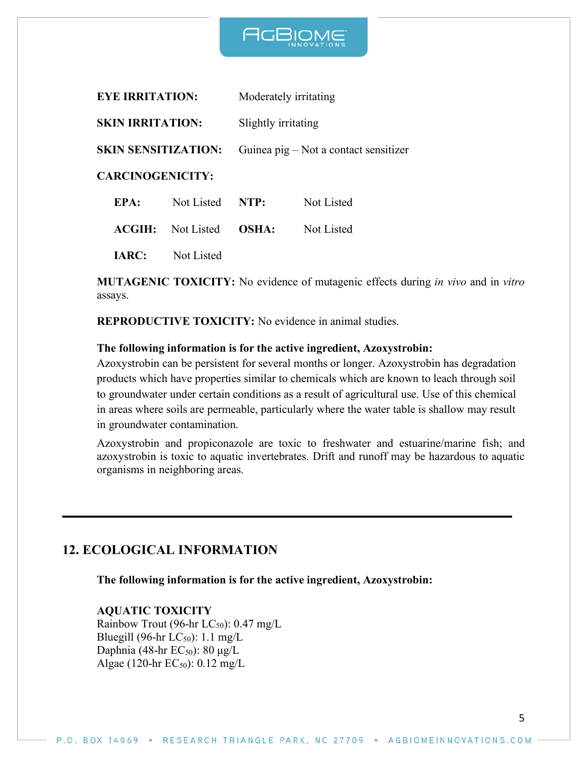

| <b>EYE IRRITATION:</b>     |            | Moderately irritating                 |            |  |
|----------------------------|------------|---------------------------------------|------------|--|
| <b>SKIN IRRITATION:</b>    |            | Slightly irritating                   |            |  |
| <b>SKIN SENSITIZATION:</b> |            | Guinea pig – Not a contact sensitizer |            |  |
| <b>CARCINOGENICITY:</b>    |            |                                       |            |  |
| EPA:                       | Not Listed | NTP:                                  | Not Listed |  |
| ACGIH:                     | Not Listed | OSHA:                                 | Not Listed |  |

**IARC:** Not Listed

**MUTAGENIC TOXICITY:** No evidence of mutagenic effects during *in vivo* and in *vitro*  assays.

**REPRODUCTIVE TOXICITY:** No evidence in animal studies.

#### **The following information is for the active ingredient, Azoxystrobin:**

Azoxystrobin can be persistent for several months or longer. Azoxystrobin has degradation products which have properties similar to chemicals which are known to leach through soil to groundwater under certain conditions as a result of agricultural use. Use of this chemical in areas where soils are permeable, particularly where the water table is shallow may result in groundwater contamination.

Azoxystrobin and propiconazole are toxic to freshwater and estuarine/marine fish; and azoxystrobin is toxic to aquatic invertebrates. Drift and runoff may be hazardous to aquatic organisms in neighboring areas.

# **12. ECOLOGICAL INFORMATION**

**The following information is for the active ingredient, Azoxystrobin:**

#### **AQUATIC TOXICITY**

Rainbow Trout (96-hr  $LC_{50}$ ): 0.47 mg/L Bluegill (96-hr  $LC_{50}$ ): 1.1 mg/L Daphnia (48-hr  $EC_{50}$ ): 80  $\mu$ g/L Algae (120-hr  $EC_{50}$ ): 0.12 mg/L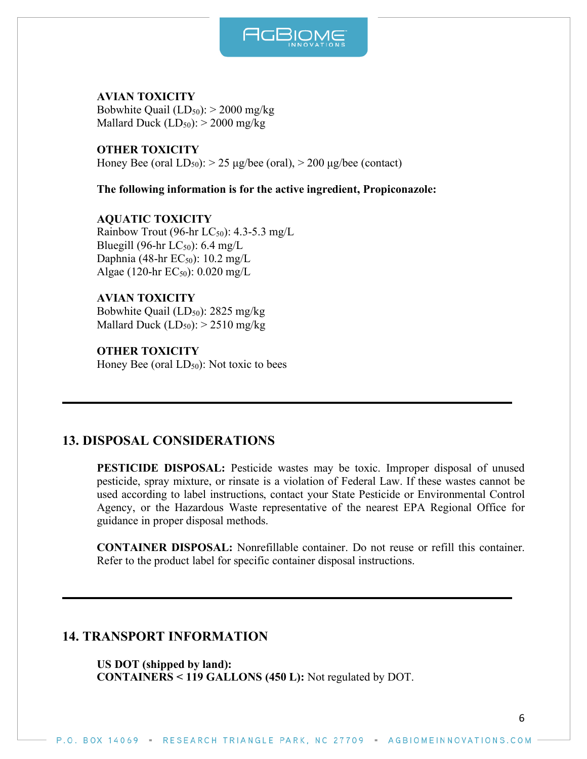

**AVIAN TOXICITY** Bobwhite Quail  $(LD_{50})$ : > 2000 mg/kg Mallard Duck  $(LD_{50})$ : > 2000 mg/kg

**OTHER TOXICITY** Honey Bee (oral  $LD_{50}$ ):  $> 25 \mu g/$ bee (oral),  $> 200 \mu g/$ bee (contact)

**The following information is for the active ingredient, Propiconazole:**

**AQUATIC TOXICITY** Rainbow Trout (96-hr  $LC_{50}$ ): 4.3-5.3 mg/L Bluegill (96-hr  $LC_{50}$ ): 6.4 mg/L Daphnia (48-hr  $EC_{50}$ ): 10.2 mg/L Algae (120-hr  $EC_{50}$ ): 0.020 mg/L

**AVIAN TOXICITY** Bobwhite Quail (LD<sub>50</sub>): 2825 mg/kg Mallard Duck  $(LD_{50})$ :  $> 2510$  mg/kg

**OTHER TOXICITY** Honey Bee (oral  $LD_{50}$ ): Not toxic to bees

# **13. DISPOSAL CONSIDERATIONS**

**PESTICIDE DISPOSAL:** Pesticide wastes may be toxic. Improper disposal of unused pesticide, spray mixture, or rinsate is a violation of Federal Law. If these wastes cannot be used according to label instructions, contact your State Pesticide or Environmental Control Agency, or the Hazardous Waste representative of the nearest EPA Regional Office for guidance in proper disposal methods.

**CONTAINER DISPOSAL:** Nonrefillable container. Do not reuse or refill this container. Refer to the product label for specific container disposal instructions.

# **14. TRANSPORT INFORMATION**

**US DOT (shipped by land): CONTAINERS < 119 GALLONS (450 L):** Not regulated by DOT.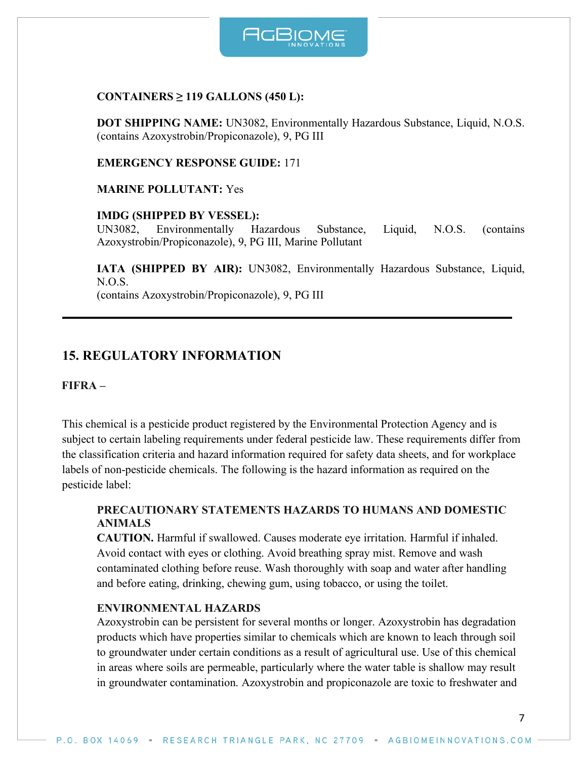

#### **CONTAINERS ≥ 119 GALLONS (450 L):**

**DOT SHIPPING NAME:** UN3082, Environmentally Hazardous Substance, Liquid, N.O.S. (contains Azoxystrobin/Propiconazole), 9, PG III

**EMERGENCY RESPONSE GUIDE:** 171

**MARINE POLLUTANT:** Yes

#### **IMDG (SHIPPED BY VESSEL):**

UN3082, Environmentally Hazardous Substance, Liquid, N.O.S. (contains Azoxystrobin/Propiconazole), 9, PG III, Marine Pollutant

**IATA (SHIPPED BY AIR):** UN3082, Environmentally Hazardous Substance, Liquid, N.O.S.

(contains Azoxystrobin/Propiconazole), 9, PG III

# **15. REGULATORY INFORMATION**

**FIFRA –**

This chemical is a pesticide product registered by the Environmental Protection Agency and is subject to certain labeling requirements under federal pesticide law. These requirements differ from the classification criteria and hazard information required for safety data sheets, and for workplace labels of non-pesticide chemicals. The following is the hazard information as required on the pesticide label:

#### **PRECAUTIONARY STATEMENTS HAZARDS TO HUMANS AND DOMESTIC ANIMALS**

**CAUTION.** Harmful if swallowed. Causes moderate eye irritation. Harmful if inhaled. Avoid contact with eyes or clothing. Avoid breathing spray mist. Remove and wash contaminated clothing before reuse. Wash thoroughly with soap and water after handling and before eating, drinking, chewing gum, using tobacco, or using the toilet.

#### **ENVIRONMENTAL HAZARDS**

Azoxystrobin can be persistent for several months or longer. Azoxystrobin has degradation products which have properties similar to chemicals which are known to leach through soil to groundwater under certain conditions as a result of agricultural use. Use of this chemical in areas where soils are permeable, particularly where the water table is shallow may result in groundwater contamination. Azoxystrobin and propiconazole are toxic to freshwater and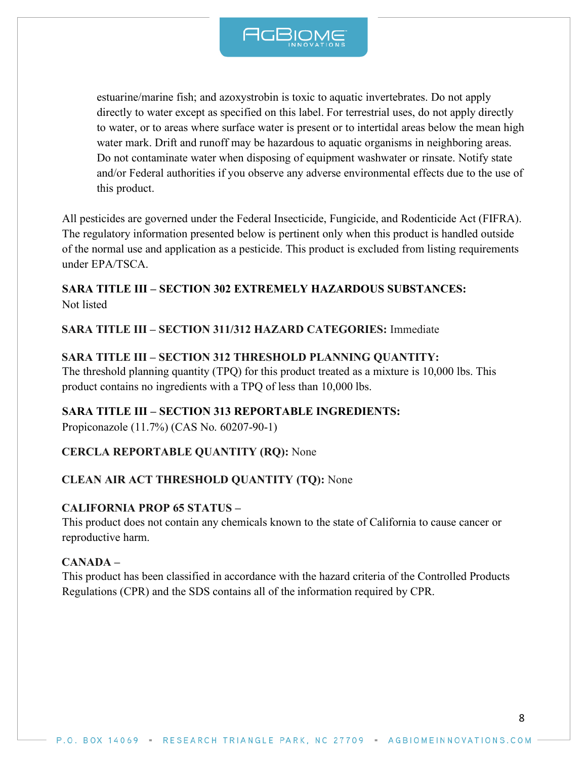

estuarine/marine fish; and azoxystrobin is toxic to aquatic invertebrates. Do not apply directly to water except as specified on this label. For terrestrial uses, do not apply directly to water, or to areas where surface water is present or to intertidal areas below the mean high water mark. Drift and runoff may be hazardous to aquatic organisms in neighboring areas. Do not contaminate water when disposing of equipment washwater or rinsate. Notify state and/or Federal authorities if you observe any adverse environmental effects due to the use of this product.

All pesticides are governed under the Federal Insecticide, Fungicide, and Rodenticide Act (FIFRA). The regulatory information presented below is pertinent only when this product is handled outside of the normal use and application as a pesticide. This product is excluded from listing requirements under EPA/TSCA.

# **SARA TITLE III – SECTION 302 EXTREMELY HAZARDOUS SUBSTANCES:** Not listed

#### **SARA TITLE III – SECTION 311/312 HAZARD CATEGORIES:** Immediate

#### **SARA TITLE III – SECTION 312 THRESHOLD PLANNING QUANTITY:**

The threshold planning quantity (TPQ) for this product treated as a mixture is 10,000 lbs. This product contains no ingredients with a TPQ of less than 10,000 lbs.

#### **SARA TITLE III – SECTION 313 REPORTABLE INGREDIENTS:**

Propiconazole (11.7%) (CAS No. 60207-90-1)

#### **CERCLA REPORTABLE QUANTITY (RQ):** None

#### **CLEAN AIR ACT THRESHOLD QUANTITY (TQ):** None

#### **CALIFORNIA PROP 65 STATUS –**

This product does not contain any chemicals known to the state of California to cause cancer or reproductive harm.

#### **CANADA –**

This product has been classified in accordance with the hazard criteria of the Controlled Products Regulations (CPR) and the SDS contains all of the information required by CPR.